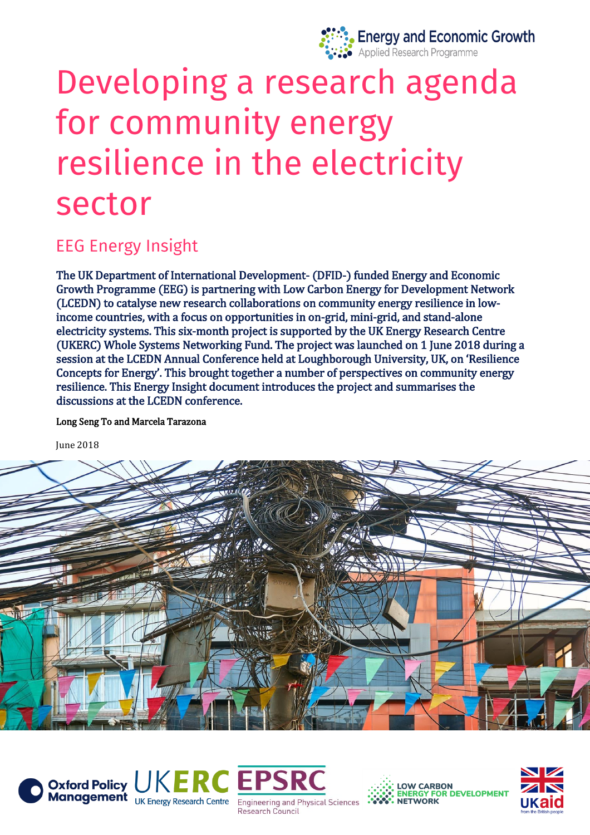

# Developing a research agenda for community energy resilience in the electricity sector

# **EEG Energy Insight**

The UK Department of International Development- (DFID-) funded Energy and Economic Growth Programme (EEG) is partnering with Low Carbon Energy for Development Network (LCEDN) to catalyse new research collaborations on community energy resilience in lowincome countries, with a focus on opportunities in on-grid, mini-grid, and stand-alone electricity systems. This six-month project is supported by the UK Energy Research Centre (UKERC) Whole Systems Networking Fund. The project was launched on 1 June 2018 during a session at the LCEDN Annual Conference held at Loughborough University, UK, on 'Resilience Concepts for Energy'. This brought together a number of perspectives on community energy resilience. This Energy Insight document introduces the project and summarises the discussions at the LCEDN conference.

Long Seng To and Marcela Tarazona

June 2018









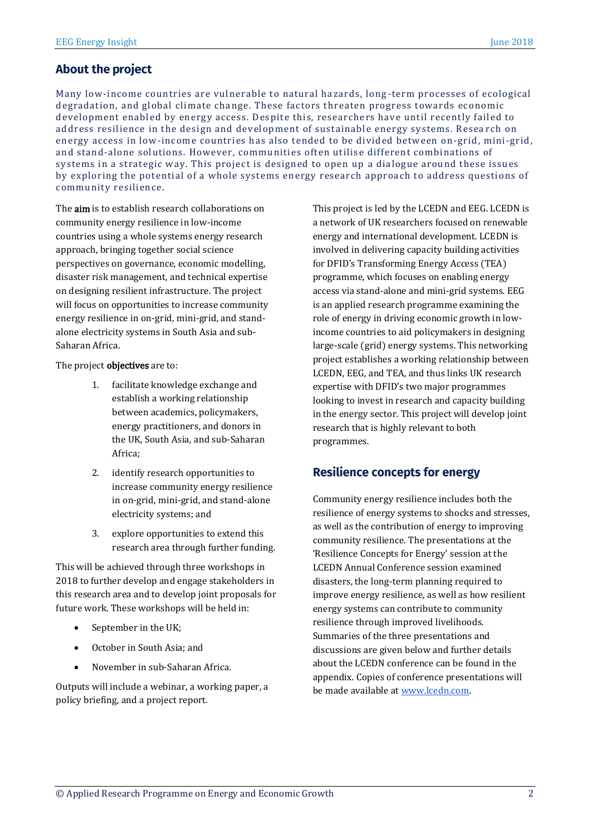Many low-income countries are vulnerable to natural hazards, long -term processes of ecological degradation, and global climate change. These factors threaten progress towards economic development enabled by energy access. Despite this, researchers have until recently failed to address resilience in the design and development of sustainable energy systems. Resea rch on energy access in low-income countries has also tended to be divided between on-grid, mini-grid, and stand-alone solutions. However, communities often utilise different combinations of systems in a strategic way. This project is designed to open up a dialogue around these issues by exploring the potential of a whole systems energy research approach to address questions of community resilience.

The **aim** is to establish research collaborations on community energy resilience in low-income countries using a whole systems energy research approach, bringing together social science perspectives on governance, economic modelling, disaster risk management, and technical expertise on designing resilient infrastructure. The project will focus on opportunities to increase community energy resilience in on-grid, mini-grid, and standalone electricity systems in South Asia and sub-Saharan Africa.

The project objectives are to:

- 1. facilitate knowledge exchange and establish a working relationship between academics, policymakers, energy practitioners, and donors in the UK, South Asia, and sub-Saharan Africa;
- 2. identify research opportunities to increase community energy resilience in on-grid, mini-grid, and stand-alone electricity systems; and
- 3. explore opportunities to extend this research area through further funding.

This will be achieved through three workshops in 2018 to further develop and engage stakeholders in this research area and to develop joint proposals for future work. These workshops will be held in:

- September in the UK;
- October in South Asia; and
- November in sub-Saharan Africa.

Outputs will include a webinar, a working paper, a policy briefing, and a project report.

This project is led by the LCEDN and EEG. LCEDN is a network of UK researchers focused on renewable energy and international development. LCEDN is involved in delivering capacity building activities for DFID's Transforming Energy Access (TEA) programme, which focuses on enabling energy access via stand-alone and mini-grid systems. EEG is an applied research programme examining the role of energy in driving economic growth in lowincome countries to aid policymakers in designing large-scale (grid) energy systems. This networking project establishes a working relationship between LCEDN, EEG, and TEA, and thus links UK research expertise with DFID's two major programmes looking to invest in research and capacity building in the energy sector. This project will develop joint research that is highly relevant to both programmes.

#### **Resilience concepts for energy**

Community energy resilience includes both the resilience of energy systems to shocks and stresses, as well as the contribution of energy to improving community resilience. The presentations at the 'Resilience Concepts for Energy' session at the LCEDN Annual Conference session examined disasters, the long-term planning required to improve energy resilience, as well as how resilient energy systems can contribute to community resilience through improved livelihoods. Summaries of the three presentations and discussions are given below and further details about the LCEDN conference can be found in the appendix. Copies of conference presentations will be made available at [www.lcedn.com.](http://www.lcedn.com/)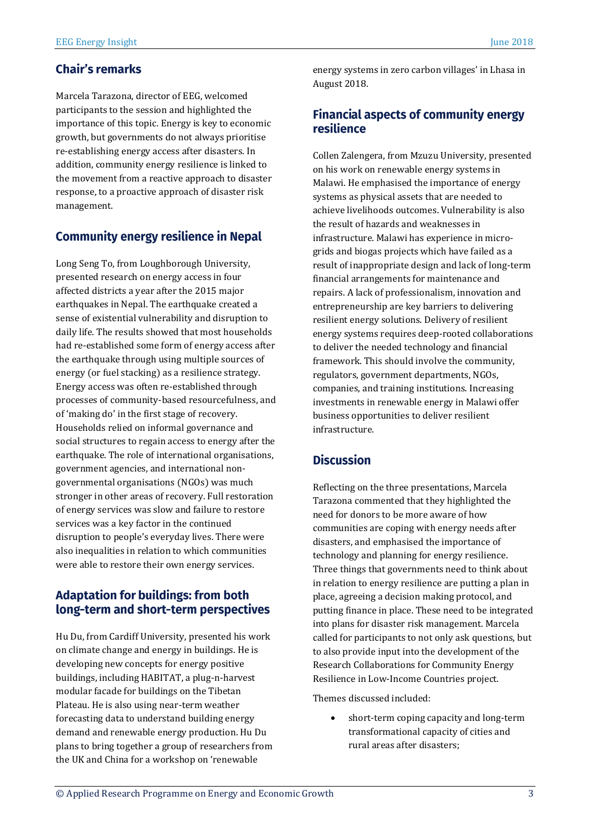#### **Chair's remarks**

Marcela Tarazona, director of EEG, welcomed participants to the session and highlighted the importance of this topic. Energy is key to economic growth, but governments do not always prioritise re-establishing energy access after disasters. In addition, community energy resilience is linked to the movement from a reactive approach to disaster response, to a proactive approach of disaster risk management.

#### **Community energy resilience in Nepal**

Long Seng To, from Loughborough University, presented research on energy access in four affected districts a year after the 2015 major earthquakes in Nepal. The earthquake created a sense of existential vulnerability and disruption to daily life. The results showed that most households had re-established some form of energy access after the earthquake through using multiple sources of energy (or fuel stacking) as a resilience strategy. Energy access was often re-established through processes of community-based resourcefulness, and of 'making do' in the first stage of recovery. Households relied on informal governance and social structures to regain access to energy after the earthquake. The role of international organisations, government agencies, and international nongovernmental organisations (NGOs) was much stronger in other areas of recovery. Full restoration of energy services was slow and failure to restore services was a key factor in the continued disruption to people's everyday lives. There were also inequalities in relation to which communities were able to restore their own energy services.

#### **Adaptation for buildings: from both** long-term and short-term perspectives

Hu Du, from Cardiff University, presented his work on climate change and energy in buildings. He is developing new concepts for energy positive buildings, including HABITAT, a plug-n-harvest modular facade for buildings on the Tibetan Plateau. He is also using near-term weather forecasting data to understand building energy demand and renewable energy production. Hu Du plans to bring together a group of researchers from the UK and China for a workshop on 'renewable

energy systems in zero carbon villages' in Lhasa in August 2018.

#### **Financial aspects of community energy** resilience

Collen Zalengera, from Mzuzu University, presented on his work on renewable energy systems in Malawi. He emphasised the importance of energy systems as physical assets that are needed to achieve livelihoods outcomes. Vulnerability is also the result of hazards and weaknesses in infrastructure. Malawi has experience in microgrids and biogas projects which have failed as a result of inappropriate design and lack of long-term financial arrangements for maintenance and repairs. A lack of professionalism, innovation and entrepreneurship are key barriers to delivering resilient energy solutions. Delivery of resilient energy systems requires deep-rooted collaborations to deliver the needed technology and financial framework. This should involve the community, regulators, government departments, NGOs, companies, and training institutions. Increasing investments in renewable energy in Malawi offer business opportunities to deliver resilient infrastructure.

### **Discussion**

Reflecting on the three presentations, Marcela Tarazona commented that they highlighted the need for donors to be more aware of how communities are coping with energy needs after disasters, and emphasised the importance of technology and planning for energy resilience. Three things that governments need to think about in relation to energy resilience are putting a plan in place, agreeing a decision making protocol, and putting finance in place. These need to be integrated into plans for disaster risk management. Marcela called for participants to not only ask questions, but to also provide input into the development of the Research Collaborations for Community Energy Resilience in Low-Income Countries project.

Themes discussed included:

• short-term coping capacity and long-term transformational capacity of cities and rural areas after disasters;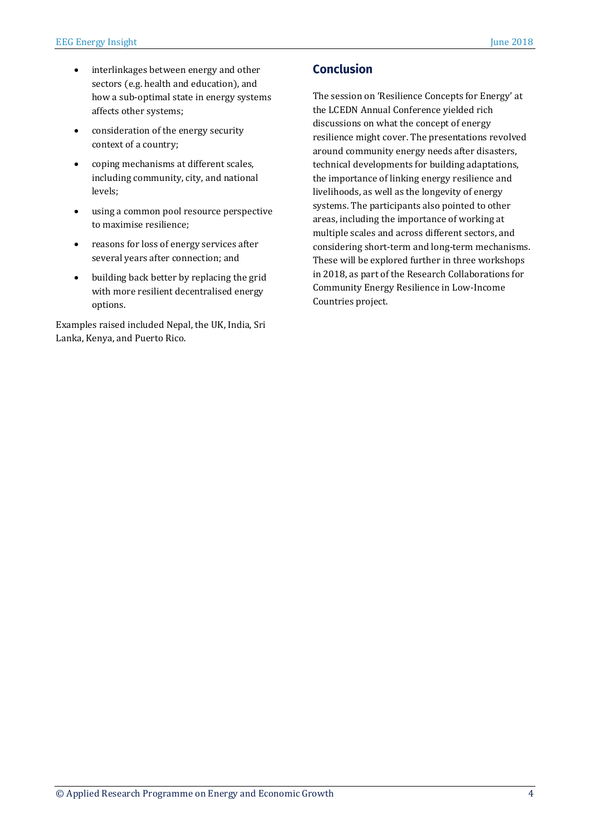- interlinkages between energy and other sectors (e.g. health and education), and how a sub-optimal state in energy systems affects other systems;
- consideration of the energy security context of a country;
- coping mechanisms at different scales, including community, city, and national levels;
- using a common pool resource perspective to maximise resilience;
- reasons for loss of energy services after several years after connection; and
- building back better by replacing the grid with more resilient decentralised energy options.

Examples raised included Nepal, the UK, India, Sri Lanka, Kenya, and Puerto Rico.

## **Conclusion**

The session on 'Resilience Concepts for Energy' at the LCEDN Annual Conference yielded rich discussions on what the concept of energy resilience might cover. The presentations revolved around community energy needs after disasters, technical developments for building adaptations, the importance of linking energy resilience and livelihoods, as well as the longevity of energy systems. The participants also pointed to other areas, including the importance of working at multiple scales and across different sectors, and considering short-term and long-term mechanisms. These will be explored further in three workshops in 2018, as part of the Research Collaborations for Community Energy Resilience in Low-Income Countries project.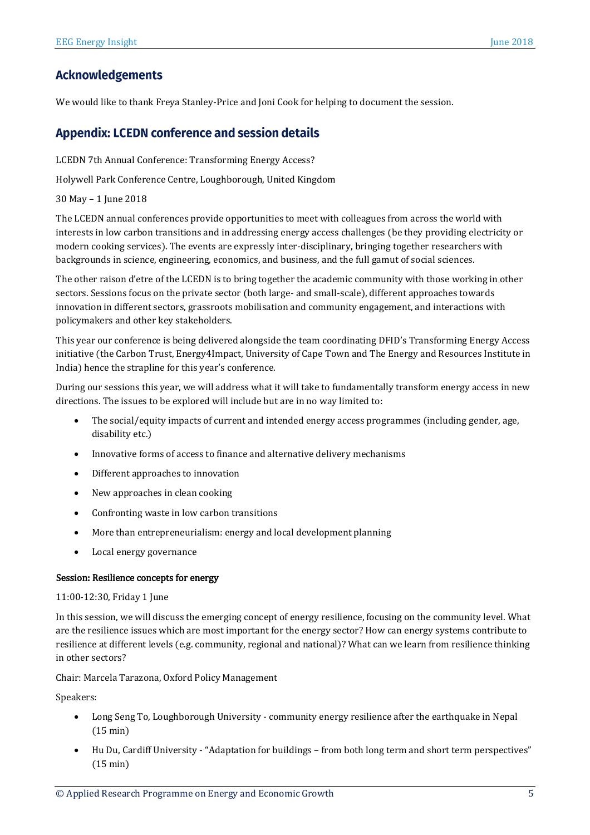#### **Acknowledgements**

We would like to thank Freya Stanley-Price and Joni Cook for helping to document the session.

#### **Appendix: LCEDN conference and session details**

LCEDN 7th Annual Conference: Transforming Energy Access?

Holywell Park Conference Centre, Loughborough, United Kingdom

30 May – 1 June 2018

The LCEDN annual conferences provide opportunities to meet with colleagues from across the world with interests in low carbon transitions and in addressing energy access challenges (be they providing electricity or modern cooking services). The events are expressly inter-disciplinary, bringing together researchers with backgrounds in science, engineering, economics, and business, and the full gamut of social sciences.

The other raison d'etre of the LCEDN is to bring together the academic community with those working in other sectors. Sessions focus on the private sector (both large- and small-scale), different approaches towards innovation in different sectors, grassroots mobilisation and community engagement, and interactions with policymakers and other key stakeholders.

This year our conference is being delivered alongside the team coordinating DFID's Transforming Energy Access initiative (the Carbon Trust, Energy4Impact, University of Cape Town and The Energy and Resources Institute in India) hence the strapline for this year's conference.

During our sessions this year, we will address what it will take to fundamentally transform energy access in new directions. The issues to be explored will include but are in no way limited to:

- The social/equity impacts of current and intended energy access programmes (including gender, age, disability etc.)
- Innovative forms of access to finance and alternative delivery mechanisms
- Different approaches to innovation
- New approaches in clean cooking
- Confronting waste in low carbon transitions
- More than entrepreneurialism: energy and local development planning
- Local energy governance

#### Session: Resilience concepts for energy

#### 11:00-12:30, Friday 1 June

In this session, we will discuss the emerging concept of energy resilience, focusing on the community level. What are the resilience issues which are most important for the energy sector? How can energy systems contribute to resilience at different levels (e.g. community, regional and national)? What can we learn from resilience thinking in other sectors?

Chair: Marcela Tarazona, Oxford Policy Management

Speakers:

- Long Seng To, Loughborough University community energy resilience after the earthquake in Nepal (15 min)
- Hu Du, Cardiff University "Adaptation for buildings from both long term and short term perspectives" (15 min)